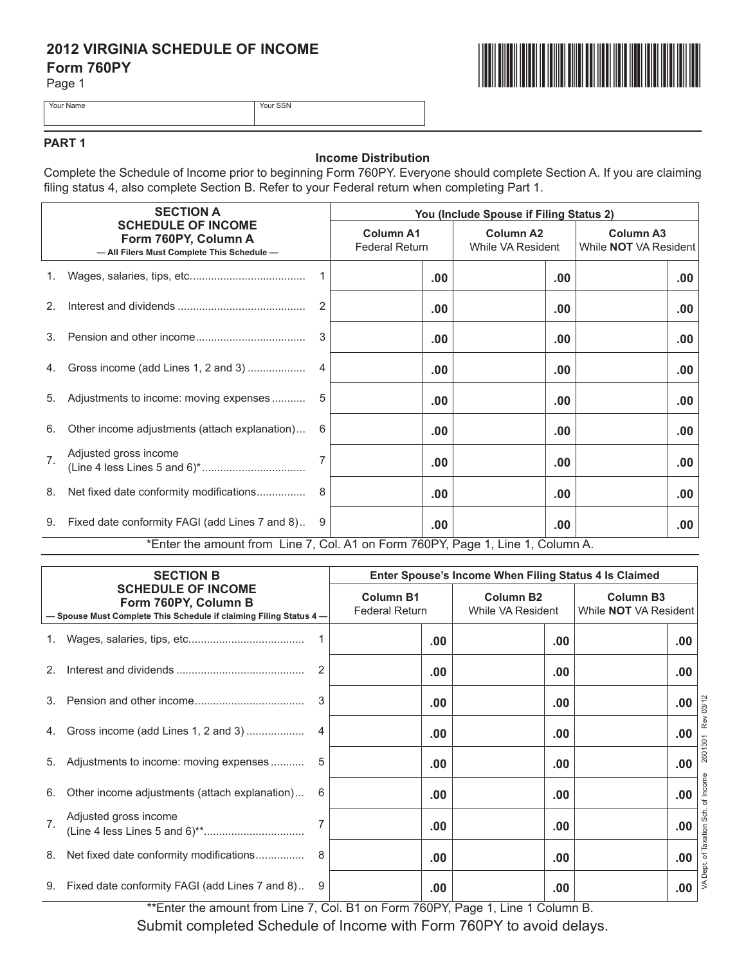# **2012 VIRGINIA SCHEDULE OF INCOME Form 760PY**

Page 1



Your Name Your SSN

## **PART 1**

### **Income Distribution**

Complete the Schedule of Income prior to beginning Form 760PY. Everyone should complete Section A. If you are claiming filing status 4, also complete Section B. Refer to your Federal return when completing Part 1.

|                | <b>SECTION A</b><br><b>SCHEDULE OF INCOME</b><br>Form 760PY, Column A<br>- All Filers Must Complete This Schedule - |    | You (Include Spouse if Filing Status 2)   |                                       |                                                  |  |  |
|----------------|---------------------------------------------------------------------------------------------------------------------|----|-------------------------------------------|---------------------------------------|--------------------------------------------------|--|--|
|                |                                                                                                                     |    | <b>Column A1</b><br><b>Federal Return</b> | <b>Column A2</b><br>While VA Resident | <b>Column A3</b><br>While <b>NOT</b> VA Resident |  |  |
|                |                                                                                                                     |    | .00                                       | .00                                   | .00                                              |  |  |
| 2.             |                                                                                                                     | 2  | .00                                       | .00                                   | .00                                              |  |  |
|                |                                                                                                                     | 3  | .00                                       | .00                                   | .00                                              |  |  |
|                |                                                                                                                     | 4  | .00.                                      | .00                                   | .00                                              |  |  |
|                | 5. Adjustments to income: moving expenses                                                                           | -5 | .00                                       | .00                                   | .00                                              |  |  |
| 6.             | Other income adjustments (attach explanation)                                                                       | 6  | .00                                       | .00                                   | .00                                              |  |  |
| 7 <sup>1</sup> | Adjusted gross income                                                                                               |    | .00.                                      | .00                                   | .00                                              |  |  |
| 8.             | Net fixed date conformity modifications                                                                             | -8 | .00                                       | .00                                   | .00                                              |  |  |
|                | 9. Fixed date conformity FAGI (add Lines 7 and 8) 9                                                                 |    | .00                                       | .00                                   | .00                                              |  |  |
|                | *Enter the amount from Line 7, Col. A1 on Form 760PY, Page 1, Line 1, Column A.                                     |    |                                           |                                       |                                                  |  |  |

| <b>SECTION B</b><br><b>SCHEDULE OF INCOME</b><br>Form 760PY, Column B<br>- Spouse Must Complete This Schedule if claiming Filing Status 4- |                                                | Enter Spouse's Income When Filing Status 4 Is Claimed |                                       |                                                  |  |                             |
|--------------------------------------------------------------------------------------------------------------------------------------------|------------------------------------------------|-------------------------------------------------------|---------------------------------------|--------------------------------------------------|--|-----------------------------|
|                                                                                                                                            |                                                | <b>Column B1</b><br><b>Federal Return</b>             | <b>Column B2</b><br>While VA Resident | <b>Column B3</b><br>While <b>NOT</b> VA Resident |  |                             |
| 1.                                                                                                                                         |                                                |                                                       | .00                                   | .00                                              |  | .00.                        |
| 2 <sup>2</sup>                                                                                                                             |                                                |                                                       | .00                                   | .00                                              |  | .00                         |
| 3.                                                                                                                                         |                                                |                                                       | .00                                   | .00                                              |  | .00.                        |
|                                                                                                                                            | Gross income (add Lines 1, 2 and 3)            |                                                       | .00                                   | .00                                              |  | 301 Rev 03/12<br>.00        |
| 5.                                                                                                                                         | Adjustments to income: moving expenses         | 5                                                     | .00                                   | .00                                              |  | 2601<br>.00                 |
| 6.                                                                                                                                         | Other income adjustments (attach explanation)  | 6                                                     | .00                                   | .00                                              |  | of Income<br>.00.           |
| 7 <sub>1</sub>                                                                                                                             | Adjusted gross income                          |                                                       | .00                                   | .00                                              |  | .00                         |
| 8.                                                                                                                                         | Net fixed date conformity modifications        |                                                       | .00                                   | .00                                              |  | apt. of Taxation Sch<br>.00 |
| 9.                                                                                                                                         | Fixed date conformity FAGI (add Lines 7 and 8) | 9                                                     | .00                                   | .00                                              |  | Q<br>M<br>.00               |

\*\*Enter the amount from Line 7, Col. B1 on Form 760PY, Page 1, Line 1 Column B.

Submit completed Schedule of Income with Form 760PY to avoid delays.